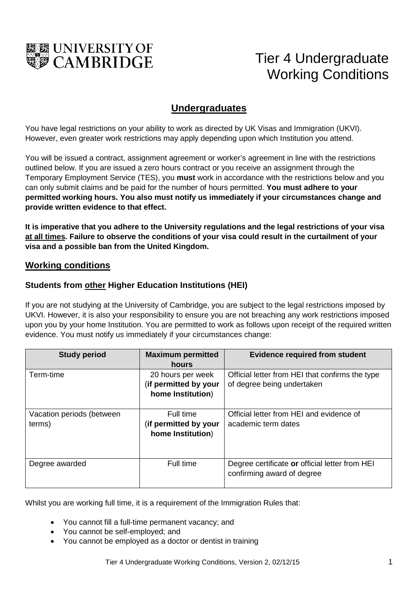

# Tier 4 Undergraduate Working Conditions

## **Undergraduates**

You have legal restrictions on your ability to work as directed by UK Visas and Immigration (UKVI). However, even greater work restrictions may apply depending upon which Institution you attend.

You will be issued a contract, assignment agreement or worker's agreement in line with the restrictions outlined below. If you are issued a zero hours contract or you receive an assignment through the Temporary Employment Service (TES), you **must** work in accordance with the restrictions below and you can only submit claims and be paid for the number of hours permitted. **You must adhere to your permitted working hours. You also must notify us immediately if your circumstances change and provide written evidence to that effect.**

**It is imperative that you adhere to the University regulations and the legal restrictions of your visa at all times. Failure to observe the conditions of your visa could result in the curtailment of your visa and a possible ban from the United Kingdom.** 

#### **Working conditions**

#### **Students from other Higher Education Institutions (HEI)**

If you are not studying at the University of Cambridge, you are subject to the legal restrictions imposed by UKVI. However, it is also your responsibility to ensure you are not breaching any work restrictions imposed upon you by your home Institution. You are permitted to work as follows upon receipt of the required written evidence. You must notify us immediately if your circumstances change:

| <b>Study period</b>                 | <b>Maximum permitted</b><br>hours                               | <b>Evidence required from student</b>                                         |
|-------------------------------------|-----------------------------------------------------------------|-------------------------------------------------------------------------------|
| Term-time                           | 20 hours per week<br>(if permitted by your<br>home Institution) | Official letter from HEI that confirms the type<br>of degree being undertaken |
| Vacation periods (between<br>terms) | Full time<br>(if permitted by your<br>home Institution)         | Official letter from HEI and evidence of<br>academic term dates               |
| Degree awarded                      | Full time                                                       | Degree certificate or official letter from HEI<br>confirming award of degree  |

Whilst you are working full time, it is a requirement of the Immigration Rules that:

- You cannot fill a full-time permanent vacancy; and
- You cannot be self-employed; and
- You cannot be employed as a doctor or dentist in training